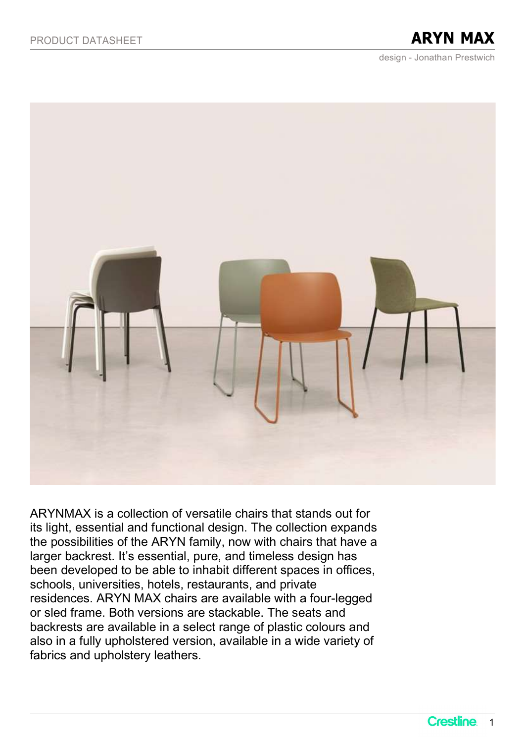design - Jonathan Prestwich



ARYNMAX is a collection of versatile chairs that stands out for its light, essential and functional design. The collection expands the possibilities of the ARYN family, now with chairs that have a larger backrest. It's essential, pure, and timeless design has been developed to be able to inhabit different spaces in offices, schools, universities, hotels, restaurants, and private residences. ARYN MAX chairs are available with a four-legged or sled frame. Both versions are stackable. The seats and backrests are available in a select range of plastic colours and also in a fully upholstered version, available in a wide variety of fabrics and upholstery leathers.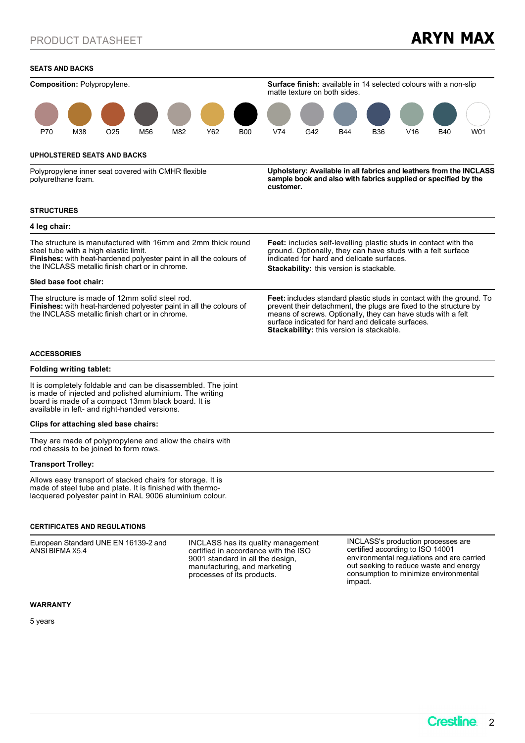### SEATS AND BACKS



5 years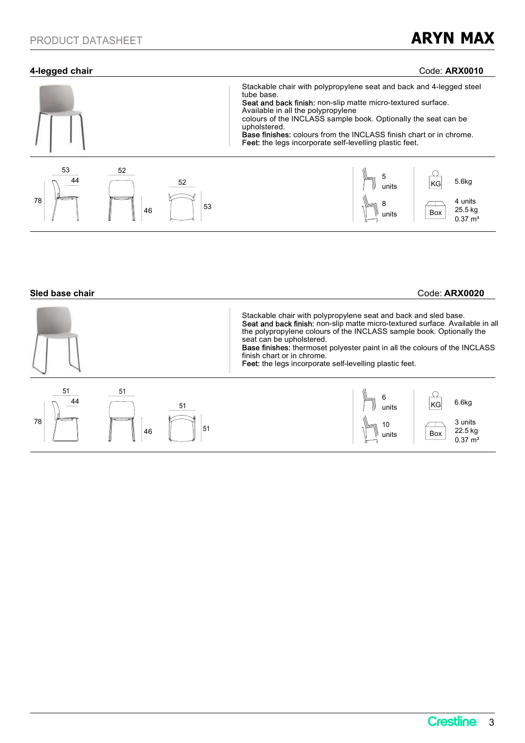# 4-legged chair Code: ARX0010



### Sled base chair Code: ARX0020

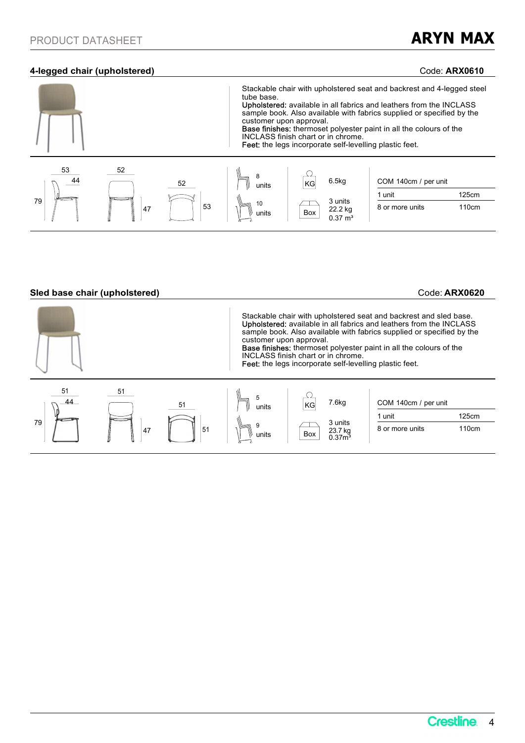## 4-legged chair (upholstered) Code: ARX0610



## Sled base chair (upholstered) and the code: ARX0620 Code: ARX0620